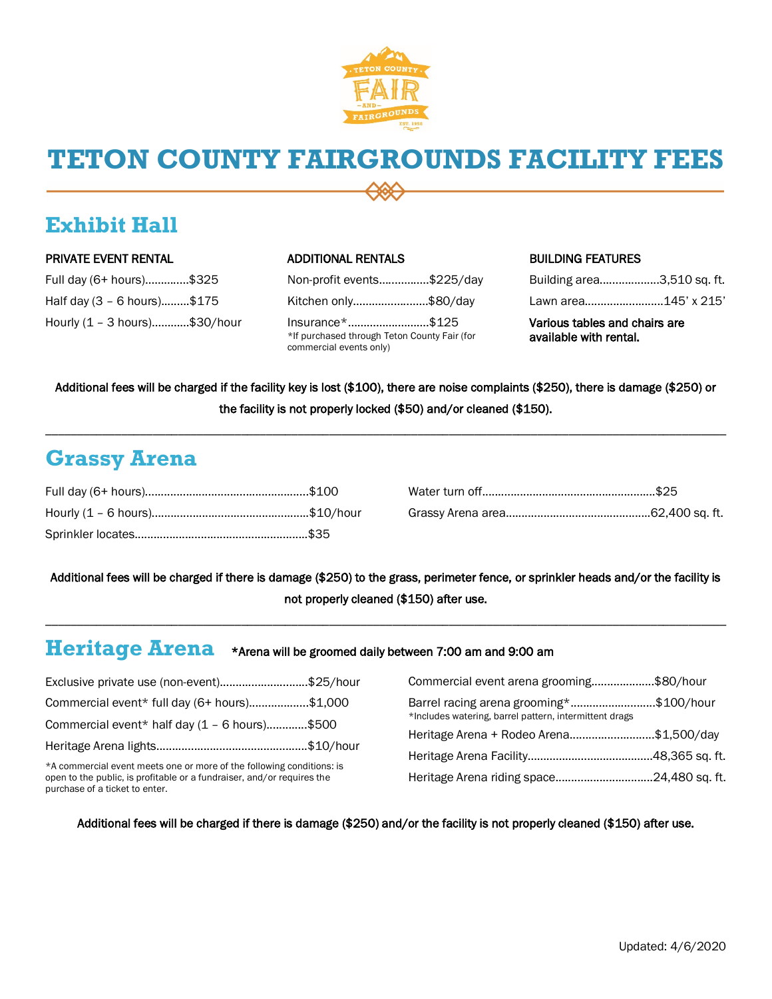

# **TETON COUNTY FAIRGROUNDS FACILITY FEES**

## **Exhibit Hall**

### PRIVATE EVENT RENTAL

| Full day (6+ hours)\$325      |  |
|-------------------------------|--|
| Half day (3 - 6 hours)\$175   |  |
| Hourly (1 – 3 hours)\$30/hour |  |

### ADDITIONAL RENTALS

Non-profit events…..…….….\$225/day Kitchen only………….…..……\$80/day Insurance\*…………….……….\$125 \*If purchased through Teton County Fair (for commercial events only)

## BUILDING FEATURES

| Building area3,510 sq. ft. |  |
|----------------------------|--|
| Lawn area145' x 215'       |  |
|                            |  |

Various tables and chairs are available with rental.

Additional fees will be charged if the facility key is lost (\$100), there are noise complaints (\$250), there is damage (\$250) or the facility is not properly locked (\$50) and/or cleaned (\$150).

\_\_\_\_\_\_\_\_\_\_\_\_\_\_\_\_\_\_\_\_\_\_\_\_\_\_\_\_\_\_\_\_\_\_\_\_\_\_\_\_\_\_\_\_\_\_\_\_\_\_\_\_\_\_\_\_\_\_\_\_\_\_\_\_\_\_\_\_\_\_\_\_\_\_\_\_\_\_\_\_\_\_\_\_\_\_\_\_\_\_\_\_\_\_\_\_\_\_\_\_\_\_\_\_\_\_\_\_

## **Grassy Arena**

Additional fees will be charged if there is damage (\$250) to the grass, perimeter fence, or sprinkler heads and/or the facility is not properly cleaned (\$150) after use.

## **Heritage Arena** \*Arena will be groomed daily between 7:00 am and 9:00 am

\_\_\_\_\_\_\_\_\_\_\_\_\_\_\_\_\_\_\_\_\_\_\_\_\_\_\_\_\_\_\_\_\_\_\_\_\_\_\_\_\_\_\_\_\_\_\_\_\_\_\_\_\_\_\_\_\_\_\_\_\_\_\_\_\_\_\_\_\_\_\_\_\_\_\_\_\_\_\_\_\_\_\_\_\_\_\_\_\_\_\_\_\_\_\_\_\_\_\_\_\_\_\_\_\_\_\_\_

| Exclusive private use (non-event)\$25/hour                             |                                         | Commercial event arena grooming\$80/hour               |  |
|------------------------------------------------------------------------|-----------------------------------------|--------------------------------------------------------|--|
| Commercial event* full day (6+ hours)\$1,000                           |                                         | Barrel racing arena grooming*\$100/hour                |  |
| Commercial event* half day $(1 - 6$ hours)\$500                        |                                         | *Includes watering, barrel pattern, intermittent drags |  |
|                                                                        | Heritage Arena + Rodeo Arena\$1,500/day |                                                        |  |
|                                                                        |                                         |                                                        |  |
|                                                                        |                                         |                                                        |  |
| *A commercial event meets one or more of the following conditions: is  |                                         |                                                        |  |
| open to the public, is profitable or a fundraiser, and/or requires the |                                         |                                                        |  |
| purchase of a ticket to enter.                                         |                                         |                                                        |  |

Additional fees will be charged if there is damage (\$250) and/or the facility is not properly cleaned (\$150) after use.